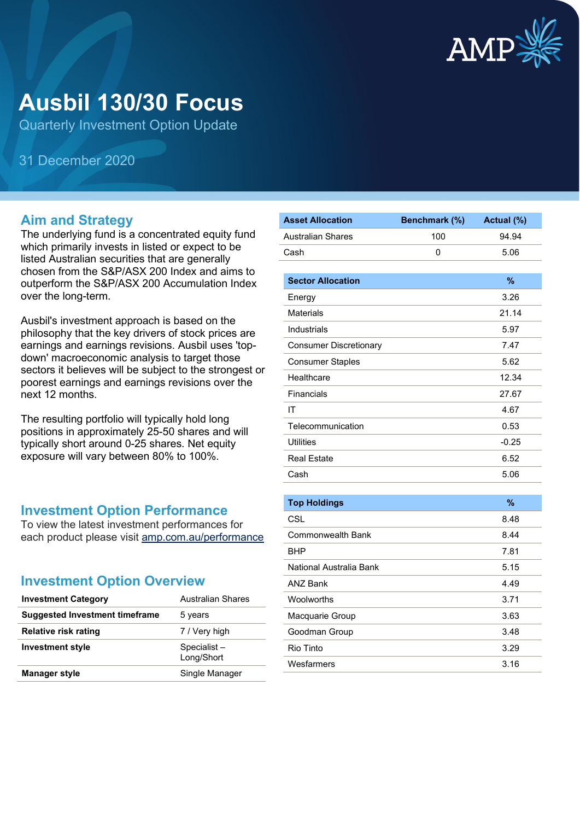

# **Ausbil 130/30 Focus**

Quarterly Investment Option Update

31 December 2020

#### **Aim and Strategy**

The underlying fund is a concentrated equity fund which primarily invests in listed or expect to be listed Australian securities that are generally chosen from the S&P/ASX 200 Index and aims to outperform the S&P/ASX 200 Accumulation Index over the long-term.

Ausbil's investment approach is based on the philosophy that the key drivers of stock prices are earnings and earnings revisions. Ausbil uses 'topdown' macroeconomic analysis to target those sectors it believes will be subject to the strongest or poorest earnings and earnings revisions over the next 12 months.

The resulting portfolio will typically hold long positions in approximately 25-50 shares and will typically short around 0-25 shares. Net equity exposure will vary between 80% to 100%.

#### **Investment Option Performance**

To view the latest investment performances for each product please visit [amp.com.au/performance](https://www.amp.com.au/performance)

#### **Investment Option Overview**

| <b>Investment Category</b>            | <b>Australian Shares</b>  |
|---------------------------------------|---------------------------|
| <b>Suggested Investment timeframe</b> | 5 years                   |
| Relative risk rating                  | 7 / Very high             |
| <b>Investment style</b>               | Specialist-<br>Long/Short |
| <b>Manager style</b>                  | Single Manager            |

| <b>Asset Allocation</b>       | Benchmark (%) | Actual (%)    |
|-------------------------------|---------------|---------------|
| <b>Australian Shares</b>      | 100           | 94.94         |
| Cash                          | 0             | 5.06          |
|                               |               |               |
| <b>Sector Allocation</b>      |               | %             |
| Energy                        |               | 3.26          |
| <b>Materials</b>              |               | 21.14         |
| Industrials                   |               | 5.97          |
| <b>Consumer Discretionary</b> |               | 7.47          |
| <b>Consumer Staples</b>       |               | 5.62          |
| Healthcare                    |               | 12.34         |
| Financials                    |               | 27.67         |
| IT                            |               | 4.67          |
| Telecommunication             |               | 0.53          |
| <b>Utilities</b>              |               | $-0.25$       |
| <b>Real Estate</b>            |               | 6.52          |
| Cash                          |               | 5.06          |
|                               |               |               |
| <b>Top Holdings</b>           |               | $\frac{9}{6}$ |
| CSL                           |               | 8.48          |
| <b>Commonwealth Bank</b>      |               | 8.44          |
| <b>BHP</b>                    |               | 7.81          |
| National Australia Bank       |               | 5.15          |
| ANZ Bank                      |               | 4.49          |
| Woolworths                    |               | 3.71          |
| Macquarie Group               |               | 3.63          |
| Goodman Group                 |               | 3.48          |
| Rio Tinto                     |               | 3.29          |
| Wesfarmers                    |               | 3.16          |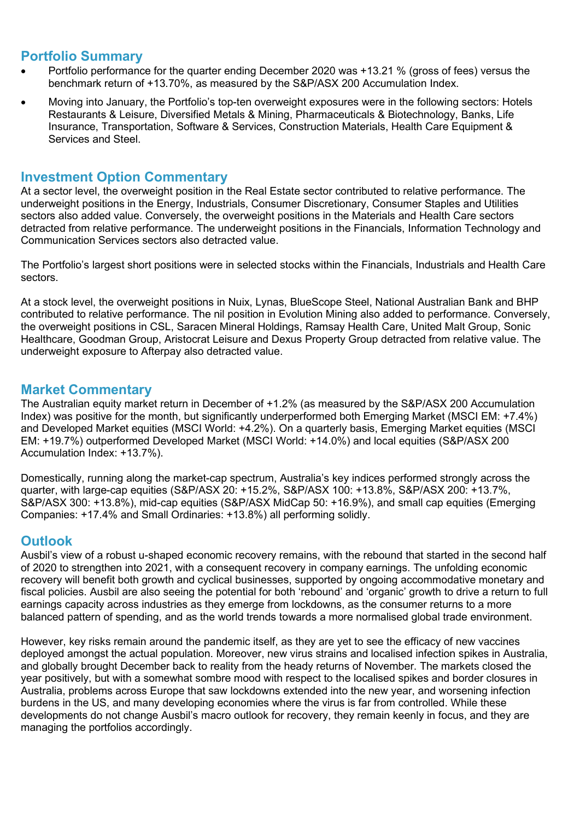#### **Portfolio Summary**

- Portfolio performance for the quarter ending December 2020 was +13.21 % (gross of fees) versus the benchmark return of +13.70%, as measured by the S&P/ASX 200 Accumulation Index.
- Moving into January, the Portfolio's top-ten overweight exposures were in the following sectors: Hotels Restaurants & Leisure, Diversified Metals & Mining, Pharmaceuticals & Biotechnology, Banks, Life Insurance, Transportation, Software & Services, Construction Materials, Health Care Equipment & Services and Steel.

#### **Investment Option Commentary**

At a sector level, the overweight position in the Real Estate sector contributed to relative performance. The underweight positions in the Energy, Industrials, Consumer Discretionary, Consumer Staples and Utilities sectors also added value. Conversely, the overweight positions in the Materials and Health Care sectors detracted from relative performance. The underweight positions in the Financials, Information Technology and Communication Services sectors also detracted value.

The Portfolio's largest short positions were in selected stocks within the Financials, Industrials and Health Care sectors.

At a stock level, the overweight positions in Nuix, Lynas, BlueScope Steel, National Australian Bank and BHP contributed to relative performance. The nil position in Evolution Mining also added to performance. Conversely, the overweight positions in CSL, Saracen Mineral Holdings, Ramsay Health Care, United Malt Group, Sonic Healthcare, Goodman Group, Aristocrat Leisure and Dexus Property Group detracted from relative value. The underweight exposure to Afterpay also detracted value.

#### **Market Commentary**

The Australian equity market return in December of +1.2% (as measured by the S&P/ASX 200 Accumulation Index) was positive for the month, but significantly underperformed both Emerging Market (MSCI EM: +7.4%) and Developed Market equities (MSCI World: +4.2%). On a quarterly basis, Emerging Market equities (MSCI EM: +19.7%) outperformed Developed Market (MSCI World: +14.0%) and local equities (S&P/ASX 200 Accumulation Index: +13.7%).

Domestically, running along the market-cap spectrum, Australia's key indices performed strongly across the quarter, with large-cap equities (S&P/ASX 20: +15.2%, S&P/ASX 100: +13.8%, S&P/ASX 200: +13.7%, S&P/ASX 300: +13.8%), mid-cap equities (S&P/ASX MidCap 50: +16.9%), and small cap equities (Emerging Companies: +17.4% and Small Ordinaries: +13.8%) all performing solidly.

### **Outlook**

Ausbil's view of a robust u-shaped economic recovery remains, with the rebound that started in the second half of 2020 to strengthen into 2021, with a consequent recovery in company earnings. The unfolding economic recovery will benefit both growth and cyclical businesses, supported by ongoing accommodative monetary and fiscal policies. Ausbil are also seeing the potential for both 'rebound' and 'organic' growth to drive a return to full earnings capacity across industries as they emerge from lockdowns, as the consumer returns to a more balanced pattern of spending, and as the world trends towards a more normalised global trade environment.

However, key risks remain around the pandemic itself, as they are yet to see the efficacy of new vaccines deployed amongst the actual population. Moreover, new virus strains and localised infection spikes in Australia, and globally brought December back to reality from the heady returns of November. The markets closed the year positively, but with a somewhat sombre mood with respect to the localised spikes and border closures in Australia, problems across Europe that saw lockdowns extended into the new year, and worsening infection burdens in the US, and many developing economies where the virus is far from controlled. While these developments do not change Ausbil's macro outlook for recovery, they remain keenly in focus, and they are managing the portfolios accordingly.